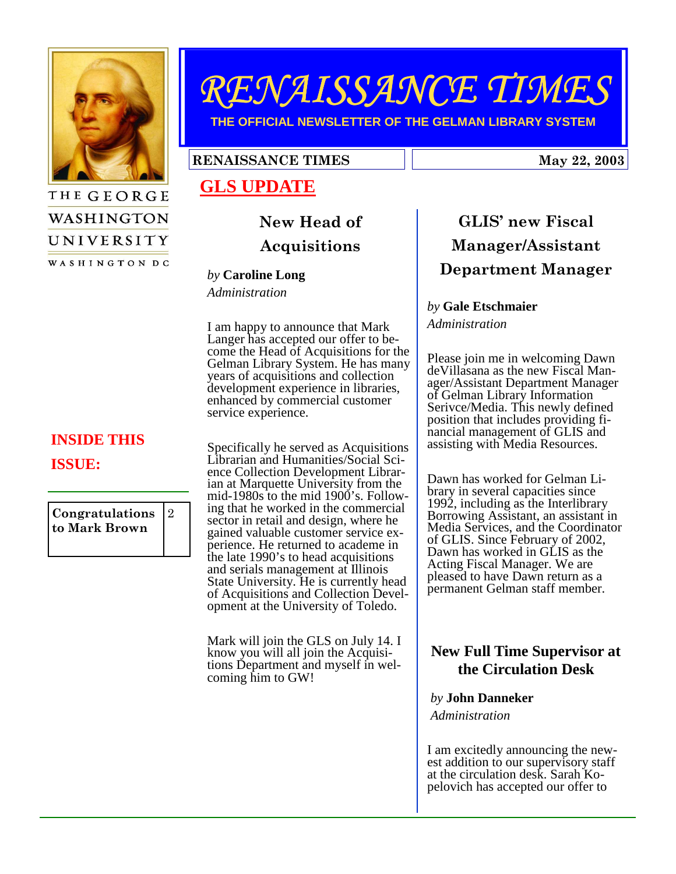

THE GEORGE

WASHINGTON

UNIVERSITY WASHINGTON DC

# RENAISSANCE TIMES

**THE OFFICIAL NEWSLETTER OF THE GELMAN LIBRARY SYSTEM** 

#### RENAISSANCE TIMES 1.1 May 22, 2003

## **GLS UPDATE**

## New Head of Acquisitions

#### *by* **Caroline Long**

*Administration* 

I am happy to announce that Mark Langer has accepted our offer to become the Head of Acquisitions for the Gelman Library System. He has many years of acquisitions and collection development experience in libraries, enhanced by commercial customer service experience.

Specifically he served as Acquisitions Librarian and Humanities/Social Science Collection Development Librarian at Marquette University from the mid-1980s to the mid 1900's. Following that he worked in the commercial sector in retail and design, where he gained valuable customer service experience. He returned to academe in the late 1990's to head acquisitions and serials management at Illinois State University. He is currently head of Acquisitions and Collection Development at the University of Toledo.

Mark will join the GLS on July 14. I know you will all join the Acquisitions Department and myself in welcoming him to GW!

# GLIS' new Fiscal Manager/Assistant Department Manager

#### *by* **Gale Etschmaier**

*Administration* 

Please join me in welcoming Dawn deVillasana as the new Fiscal Manager/Assistant Department Manager of Gelman Library Information Serivce/Media. This newly defined position that includes providing financial management of GLIS and assisting with Media Resources.

Media Services, and the Coordinator<br>
of GLIS, Since February of 2002 Dawn has worked in GLIS as the permanent Gelman staff member. Dawn has worked for Gelman Library in several capacities since 1992, including as the Interlibrary Borrowing Assistant, an assistant in of GLIS. Since February of 2002, Acting Fiscal Manager. We are pleased to have Dawn return as a

#### $\mathbf{y}$   $\mathbf{F}$  using  $\mathbf{y}$ **New Full Time Supervisor at the Circulation Desk**

# *by* **John Danneker**

 *Administration* 

I am excitedly announcing the newest addition to our supervisory staff at the circulation desk. Sarah Kopelovich has accepted our offer to

## **INSIDE THIS ISSUE:**

Congratulations to Mark Brown 2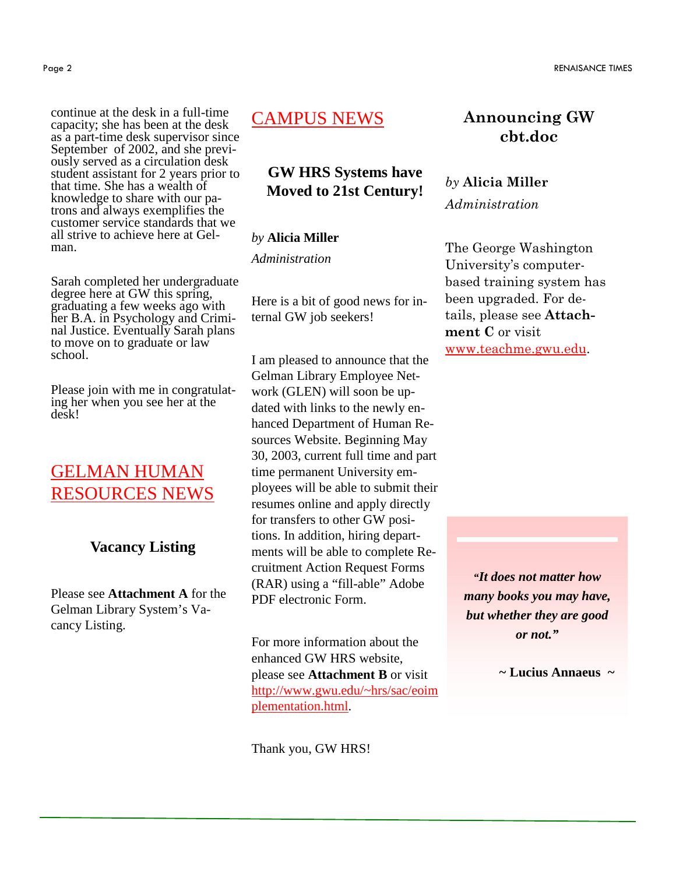continue at the desk in a full-time capacity; she has been at the desk as a part-time desk supervisor since September of 2002, and she previously served as a circulation desk student assistant for 2 years prior to that time. She has a wealth of knowledge to share with our patrons and always exemplifies the customer service standards that we all strive to achieve here at Gelman.

Sarah completed her undergraduate degree here at GW this spring, graduating a few weeks ago with her B.A. in Psychology and Criminal Justice. Eventually Sarah plans to move on to graduate or law school.

Please join with me in congratulating her when you see her at the desk!

## GELMAN HUMAN RESOURCES NEWS

#### **Vacancy Listing**

Please see **Attachment A** for the Gelman Library System's Vacancy Listing.

## CAMPUS NEWS

#### **GW HRS Systems have Moved to 21st Century!**

#### *by* **Alicia Miller**

*Administration* 

Here is a bit of good news for internal GW job seekers!

I am pleased to announce that the Gelman Library Employee Network (GLEN) will soon be updated with links to the newly enhanced Department of Human Resources Website. Beginning May 30, 2003, current full time and part time permanent University employees will be able to submit their resumes online and apply directly for transfers to other GW positions. In addition, hiring departments will be able to complete Recruitment Action Request Forms (RAR) using a "fill-able" Adobe PDF electronic Form.

For more information about the enhanced GW HRS website, please see **Attachment B** or visit http://www.gwu.edu/~hrs/sac/eoim plementation.html.

Thank you, GW HRS!

## Announcing GW cbt.doc

### by Alicia Miller Administration

The George Washington University's computerbased training system has been upgraded. For details, please see Attachment C or visit www.teachme.gwu.edu.

> *"It does not matter how many books you may have, but whether they are good or not."*

> > *~* **Lucius Annaeus** *~*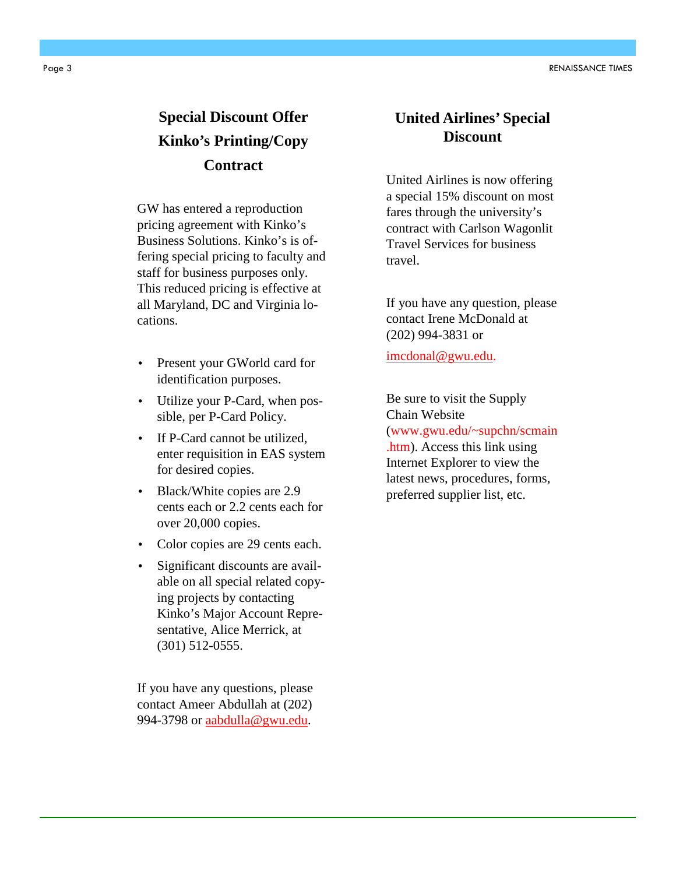Page 3 RENAISSANCE TIMES

## **Special Discount Offer Kinko's Printing/Copy Contract**

GW has entered a reproduction pricing agreement with Kinko's Business Solutions. Kinko's is offering special pricing to faculty and staff for business purposes only. This reduced pricing is effective at all Maryland, DC and Virginia locations.

- Present your GWorld card for identification purposes.
- Utilize your P-Card, when possible, per P-Card Policy.
- If P-Card cannot be utilized, enter requisition in EAS system for desired copies.
- Black/White copies are 2.9 cents each or 2.2 cents each for over 20,000 copies.
- Color copies are 29 cents each.
- Significant discounts are available on all special related copying projects by contacting Kinko's Major Account Representative, Alice Merrick, at (301) 512-0555.

If you have any questions, please contact Ameer Abdullah at (202) 994-3798 or aabdulla@gwu.edu.

#### **United Airlines' Special Discount**

United Airlines is now offering a special 15% discount on most fares through the university's contract with Carlson Wagonlit Travel Services for business travel.

If you have any question, please contact Irene McDonald at (202) 994-3831 or

imcdonal@gwu.edu.

Be sure to visit the Supply Chain Website (www.gwu.edu/~supchn/scmain .htm). Access this link using Internet Explorer to view the latest news, procedures, forms, preferred supplier list, etc.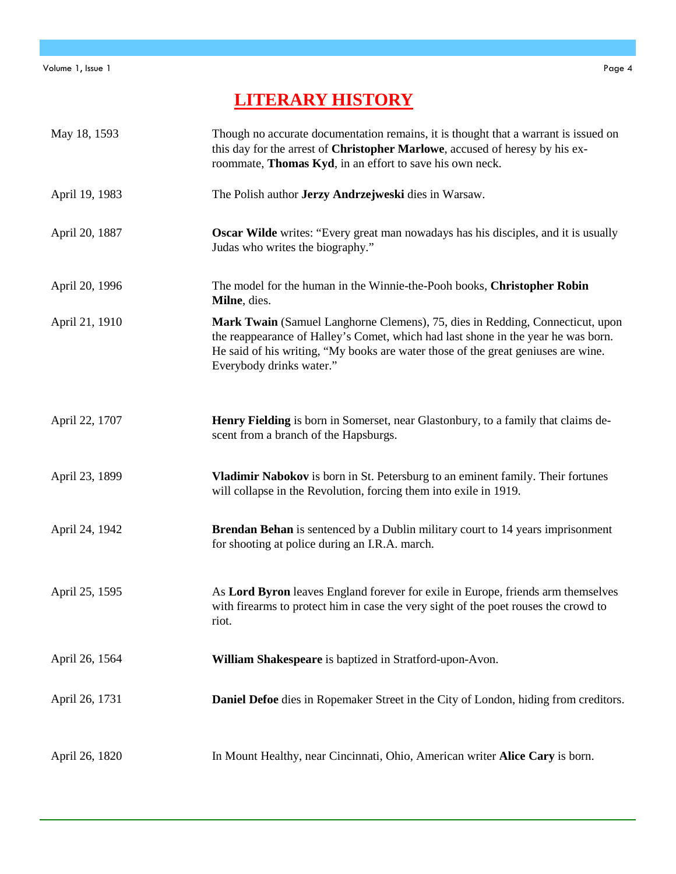## **LITERARY HISTORY**

| May 18, 1593   | Though no accurate documentation remains, it is thought that a warrant is issued on<br>this day for the arrest of Christopher Marlowe, accused of heresy by his ex-<br>roommate, Thomas Kyd, in an effort to save his own neck.                                                     |
|----------------|-------------------------------------------------------------------------------------------------------------------------------------------------------------------------------------------------------------------------------------------------------------------------------------|
| April 19, 1983 | The Polish author Jerzy Andrzejweski dies in Warsaw.                                                                                                                                                                                                                                |
| April 20, 1887 | Oscar Wilde writes: "Every great man nowadays has his disciples, and it is usually<br>Judas who writes the biography."                                                                                                                                                              |
| April 20, 1996 | The model for the human in the Winnie-the-Pooh books, Christopher Robin<br>Milne, dies.                                                                                                                                                                                             |
| April 21, 1910 | Mark Twain (Samuel Langhorne Clemens), 75, dies in Redding, Connecticut, upon<br>the reappearance of Halley's Comet, which had last shone in the year he was born.<br>He said of his writing, "My books are water those of the great geniuses are wine.<br>Everybody drinks water." |
| April 22, 1707 | Henry Fielding is born in Somerset, near Glastonbury, to a family that claims de-<br>scent from a branch of the Hapsburgs.                                                                                                                                                          |
| April 23, 1899 | Vladimir Nabokov is born in St. Petersburg to an eminent family. Their fortunes<br>will collapse in the Revolution, forcing them into exile in 1919.                                                                                                                                |
| April 24, 1942 | <b>Brendan Behan</b> is sentenced by a Dublin military court to 14 years imprisonment<br>for shooting at police during an I.R.A. march.                                                                                                                                             |
| April 25, 1595 | As Lord Byron leaves England forever for exile in Europe, friends arm themselves<br>with firearms to protect him in case the very sight of the poet rouses the crowd to<br>riot.                                                                                                    |
| April 26, 1564 | William Shakespeare is baptized in Stratford-upon-Avon.                                                                                                                                                                                                                             |
| April 26, 1731 | Daniel Defoe dies in Ropemaker Street in the City of London, hiding from creditors.                                                                                                                                                                                                 |
| April 26, 1820 | In Mount Healthy, near Cincinnati, Ohio, American writer Alice Cary is born.                                                                                                                                                                                                        |